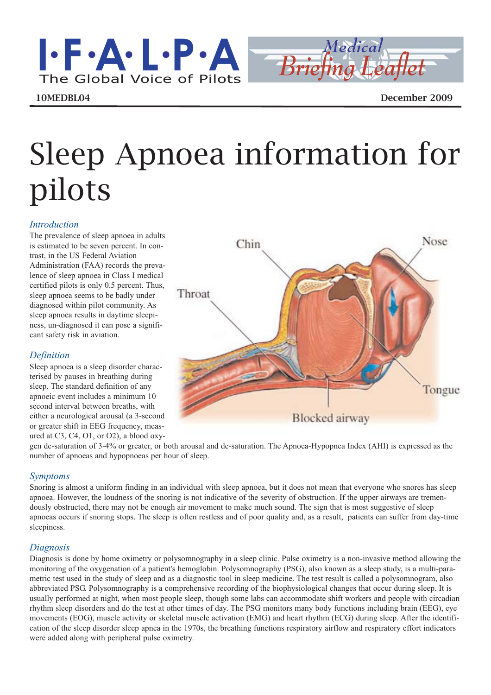# Sleep Apnoea information for pilots

#### *Introduction*

The prevalence of sleep apnoea in adults is estimated to be seven percent. In contrast, in the US Federal Aviation Administration (FAA) records the prevalence of sleep apnoea in Class I medical certified pilots is only 0.5 percent. Thus, sleep apnoea seems to be badly under diagnosed within pilot community. As sleep apnoea results in daytime sleepiness, un-diagnosed it can pose a significant safety risk in aviation.

## *Definition*

Sleep apnoea is a sleep disorder characterised by pauses in breathing during sleep. The standard definition of any apnoeic event includes a minimum 10

## *Symptoms*

Snoring is almost a uniform finding in an individual with sleep apnoea, but it does not mean that everyone who snores has sleep apnoea. However, the loudness of the snoring is not indicative of the severity of obstruction. If the upper airways are tremendously obstructed, there may not be enough air movement to make much sound. The sign that is most suggestive of sleep apnoeas occurs if snoring stops. The sleep is often restless and of poor quality and, as a result, patients can suffer from day-time sleepiness.

## *Diagnosis*

Diagnosis is done by home oximetry or polysomnography in a sleep clinic. Pulse oximetry is a non-invasive method allowing the monitoring of the oxygenation of a patient's hemoglobin. Polysomnography (PSG), also known as a sleep study, is a multi-parametric test used in the study of sleep and as a diagnostic tool in sleep medicine. The test result is called a polysomnogram, also abbreviated PSG. Polysomnography is a comprehensive recording of the biophysiological changes that occur during sleep. It is usually performed at night, when most people sleep, though some labs can accommodate shift workers and people with circadian rhythm sleep disorders and do the test at other times of day. The PSG monitors many body functions including brain (EEG), eye movements (EOG), muscle activity or skeletal muscle activation (EMG) and heart rhythm (ECG) during sleep. After the identification of the sleep disorder sleep apnea in the 1970s, the breathing functions respiratory airflow and respiratory effort indicators were added along with peripheral pulse oximetry.

second interval between breaths, with either a neurological arousal (a 3-second **Blocked** airway or greater shift in EEG frequency, measured at C3, C4, O1, or O2), a blood oxygen de-saturation of 3-4% or greater, or both arousal and de-saturation. The Apnoea-Hypopnea Index (AHI) is expressed as the number of apnoeas and hypopnoeas per hour of sleep.





10MEDBL04 December 2009